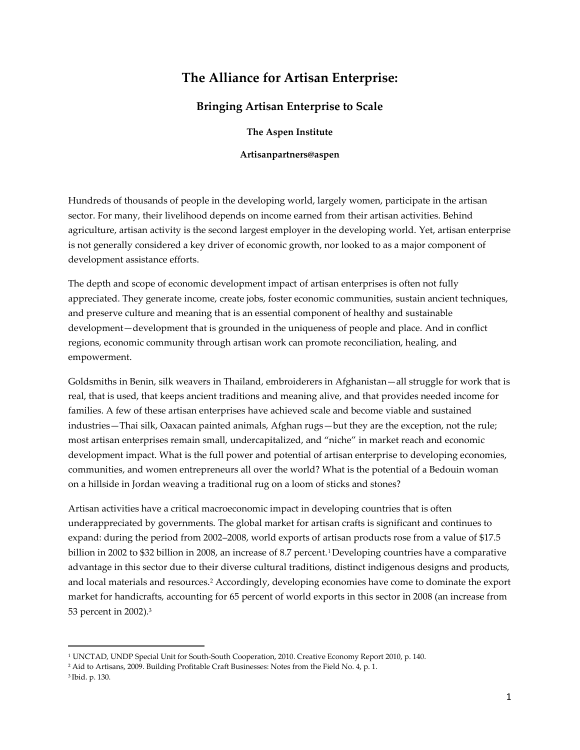# **The Alliance for Artisan Enterprise:**

## **Bringing Artisan Enterprise to Scale**

**The Aspen Institute**

**Artisanpartners@aspen** 

Hundreds of thousands of people in the developing world, largely women, participate in the artisan sector. For many, their livelihood depends on income earned from their artisan activities. Behind agriculture, artisan activity is the second largest employer in the developing world. Yet, artisan enterprise is not generally considered a key driver of economic growth, nor looked to as a major component of development assistance efforts.

The depth and scope of economic development impact of artisan enterprises is often not fully appreciated. They generate income, create jobs, foster economic communities, sustain ancient techniques, and preserve culture and meaning that is an essential component of healthy and sustainable development—development that is grounded in the uniqueness of people and place. And in conflict regions, economic community through artisan work can promote reconciliation, healing, and empowerment.

Goldsmiths in Benin, silk weavers in Thailand, embroiderers in Afghanistan—all struggle for work that is real, that is used, that keeps ancient traditions and meaning alive, and that provides needed income for families. A few of these artisan enterprises have achieved scale and become viable and sustained industries—Thai silk, Oaxacan painted animals, Afghan rugs—but they are the exception, not the rule; most artisan enterprises remain small, undercapitalized, and "niche" in market reach and economic development impact. What is the full power and potential of artisan enterprise to developing economies, communities, and women entrepreneurs all over the world? What is the potential of a Bedouin woman on a hillside in Jordan weaving a traditional rug on a loom of sticks and stones?

Artisan activities have a critical macroeconomic impact in developing countries that is often underappreciated by governments. The global market for artisan crafts is significant and continues to expand: during the period from 2002–2008, world exports of artisan products rose from a value of \$17.5 billion in 2002 to \$32 billion in 2008, an increase of 8.7 percent.<sup>1</sup> Developing countries have a comparative advantage in this sector due to their diverse cultural traditions, distinct indigenous designs and products, and local materials and resources.<sup>2</sup> Accordingly, developing economies have come to dominate the export market for handicrafts, accounting for 65 percent of world exports in this sector in 2008 (an increase from 53 percent in 2002).<sup>3</sup>

 $\overline{\phantom{a}}$ 

<sup>1</sup> UNCTAD, UNDP Special Unit for South-South Cooperation, 2010. Creative Economy Report 2010, p. 140.

<sup>2</sup> Aid to Artisans, 2009. Building Profitable Craft Businesses: Notes from the Field No. 4, p. 1.

<sup>3</sup> Ibid. p. 130.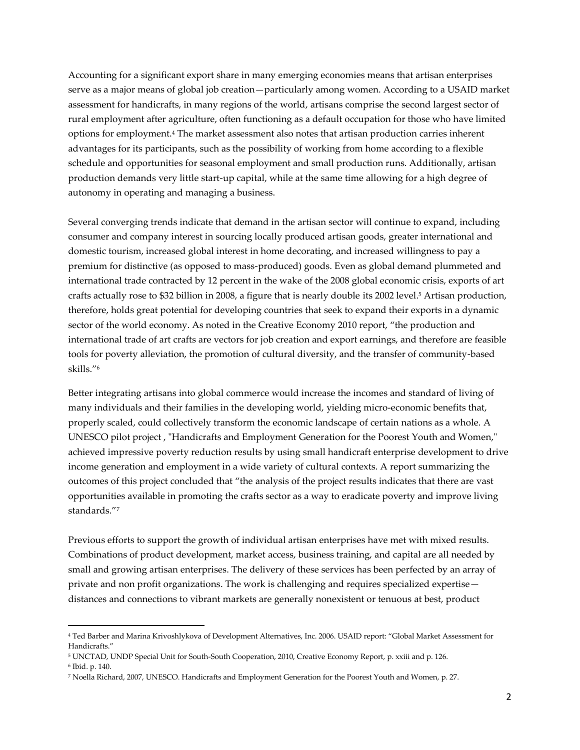Accounting for a significant export share in many emerging economies means that artisan enterprises serve as a major means of global job creation—particularly among women. According to a USAID market assessment for handicrafts, in many regions of the world, artisans comprise the second largest sector of rural employment after agriculture, often functioning as a default occupation for those who have limited options for employment.<sup>4</sup> The market assessment also notes that artisan production carries inherent advantages for its participants, such as the possibility of working from home according to a flexible schedule and opportunities for seasonal employment and small production runs. Additionally, artisan production demands very little start-up capital, while at the same time allowing for a high degree of autonomy in operating and managing a business.

Several converging trends indicate that demand in the artisan sector will continue to expand, including consumer and company interest in sourcing locally produced artisan goods, greater international and domestic tourism, increased global interest in home decorating, and increased willingness to pay a premium for distinctive (as opposed to mass-produced) goods. Even as global demand plummeted and international trade contracted by 12 percent in the wake of the 2008 global economic crisis, exports of art crafts actually rose to \$32 billion in 2008, a figure that is nearly double its 2002 level.<sup>5</sup> Artisan production, therefore, holds great potential for developing countries that seek to expand their exports in a dynamic sector of the world economy. As noted in the Creative Economy 2010 report, "the production and international trade of art crafts are vectors for job creation and export earnings, and therefore are feasible tools for poverty alleviation, the promotion of cultural diversity, and the transfer of community-based skills."<sup>6</sup>

Better integrating artisans into global commerce would increase the incomes and standard of living of many individuals and their families in the developing world, yielding micro-economic benefits that, properly scaled, could collectively transform the economic landscape of certain nations as a whole. A UNESCO pilot project , "Handicrafts and Employment Generation for the Poorest Youth and Women," achieved impressive poverty reduction results by using small handicraft enterprise development to drive income generation and employment in a wide variety of cultural contexts. A report summarizing the outcomes of this project concluded that "the analysis of the project results indicates that there are vast opportunities available in promoting the crafts sector as a way to eradicate poverty and improve living standards."<sup>7</sup>

Previous efforts to support the growth of individual artisan enterprises have met with mixed results. Combinations of product development, market access, business training, and capital are all needed by small and growing artisan enterprises. The delivery of these services has been perfected by an array of private and non profit organizations. The work is challenging and requires specialized expertise distances and connections to vibrant markets are generally nonexistent or tenuous at best, product

l

<sup>4</sup> Ted Barber and Marina Krivoshlykova of Development Alternatives, Inc. 2006. USAID report: "Global Market Assessment for Handicrafts."

<sup>5</sup> UNCTAD, UNDP Special Unit for South-South Cooperation, 2010, Creative Economy Report, p. xxiii and p. 126.

<sup>6</sup> Ibid. p. 140.

<sup>7</sup> Noella Richard, 2007, UNESCO. Handicrafts and Employment Generation for the Poorest Youth and Women, p. 27.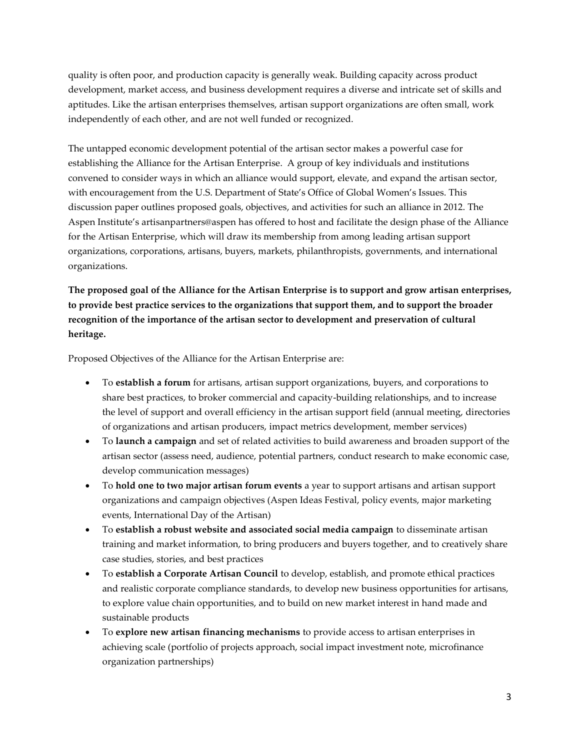quality is often poor, and production capacity is generally weak. Building capacity across product development, market access, and business development requires a diverse and intricate set of skills and aptitudes. Like the artisan enterprises themselves, artisan support organizations are often small, work independently of each other, and are not well funded or recognized.

The untapped economic development potential of the artisan sector makes a powerful case for establishing the Alliance for the Artisan Enterprise. A group of key individuals and institutions convened to consider ways in which an alliance would support, elevate, and expand the artisan sector, with encouragement from the U.S. Department of State's Office of Global Women's Issues. This discussion paper outlines proposed goals, objectives, and activities for such an alliance in 2012. The Aspen Institute's artisanpartners@aspen has offered to host and facilitate the design phase of the Alliance for the Artisan Enterprise, which will draw its membership from among leading artisan support organizations, corporations, artisans, buyers, markets, philanthropists, governments, and international organizations.

**The proposed goal of the Alliance for the Artisan Enterprise is to support and grow artisan enterprises, to provide best practice services to the organizations that support them, and to support the broader recognition of the importance of the artisan sector to development and preservation of cultural heritage.**

Proposed Objectives of the Alliance for the Artisan Enterprise are:

- To **establish a forum** for artisans, artisan support organizations, buyers, and corporations to share best practices, to broker commercial and capacity-building relationships, and to increase the level of support and overall efficiency in the artisan support field (annual meeting, directories of organizations and artisan producers, impact metrics development, member services)
- To **launch a campaign** and set of related activities to build awareness and broaden support of the artisan sector (assess need, audience, potential partners, conduct research to make economic case, develop communication messages)
- To **hold one to two major artisan forum events** a year to support artisans and artisan support organizations and campaign objectives (Aspen Ideas Festival, policy events, major marketing events, International Day of the Artisan)
- To **establish a robust website and associated social media campaign** to disseminate artisan training and market information, to bring producers and buyers together, and to creatively share case studies, stories, and best practices
- To **establish a Corporate Artisan Council** to develop, establish, and promote ethical practices and realistic corporate compliance standards, to develop new business opportunities for artisans, to explore value chain opportunities, and to build on new market interest in hand made and sustainable products
- To **explore new artisan financing mechanisms** to provide access to artisan enterprises in achieving scale (portfolio of projects approach, social impact investment note, microfinance organization partnerships)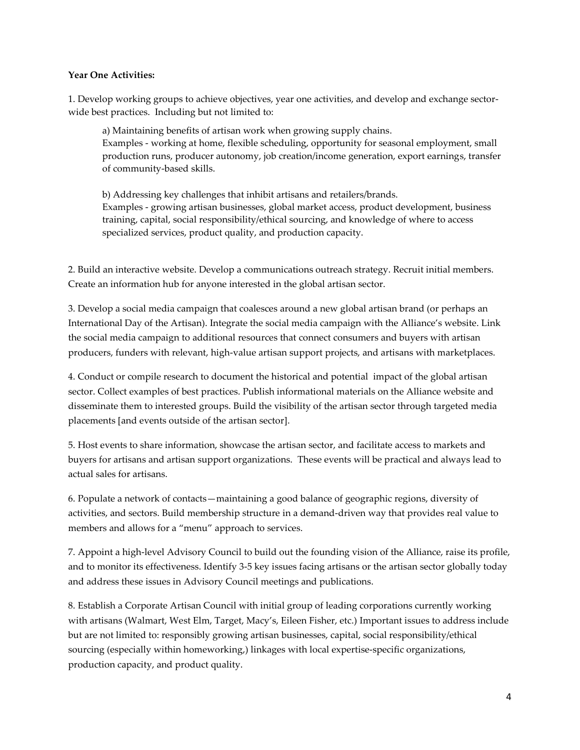#### **Year One Activities:**

1. Develop working groups to achieve objectives, year one activities, and develop and exchange sectorwide best practices. Including but not limited to:

a) Maintaining benefits of artisan work when growing supply chains. Examples - working at home, flexible scheduling, opportunity for seasonal employment, small production runs, producer autonomy, job creation/income generation, export earnings, transfer of community-based skills.

b) Addressing key challenges that inhibit artisans and retailers/brands. Examples - growing artisan businesses, global market access, product development, business training, capital, social responsibility/ethical sourcing, and knowledge of where to access specialized services, product quality, and production capacity.

2. Build an interactive website. Develop a communications outreach strategy. Recruit initial members. Create an information hub for anyone interested in the global artisan sector.

3. Develop a social media campaign that coalesces around a new global artisan brand (or perhaps an International Day of the Artisan). Integrate the social media campaign with the Alliance's website. Link the social media campaign to additional resources that connect consumers and buyers with artisan producers, funders with relevant, high-value artisan support projects, and artisans with marketplaces.

4. Conduct or compile research to document the historical and potential impact of the global artisan sector. Collect examples of best practices. Publish informational materials on the Alliance website and disseminate them to interested groups. Build the visibility of the artisan sector through targeted media placements [and events outside of the artisan sector].

5. Host events to share information, showcase the artisan sector, and facilitate access to markets and buyers for artisans and artisan support organizations. These events will be practical and always lead to actual sales for artisans.

6. Populate a network of contacts—maintaining a good balance of geographic regions, diversity of activities, and sectors. Build membership structure in a demand-driven way that provides real value to members and allows for a "menu" approach to services.

7. Appoint a high-level Advisory Council to build out the founding vision of the Alliance, raise its profile, and to monitor its effectiveness. Identify 3-5 key issues facing artisans or the artisan sector globally today and address these issues in Advisory Council meetings and publications.

8. Establish a Corporate Artisan Council with initial group of leading corporations currently working with artisans (Walmart, West Elm, Target, Macy's, Eileen Fisher, etc.) Important issues to address include but are not limited to: responsibly growing artisan businesses, capital, social responsibility/ethical sourcing (especially within homeworking,) linkages with local expertise-specific organizations, production capacity, and product quality.